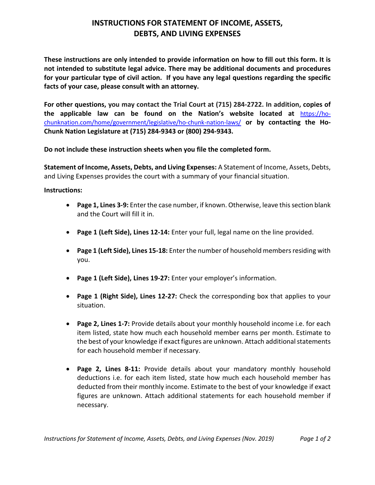## **INSTRUCTIONS FOR STATEMENT OF INCOME, ASSETS, DEBTS, AND LIVING EXPENSES**

**These instructions are only intended to provide information on how to fill out this form. It is not intended to substitute legal advice. There may be additional documents and procedures for your particular type of civil action. If you have any legal questions regarding the specific facts of your case, please consult with an attorney.** 

**For other questions, you may contact the Trial Court at (715) 284-2722. In addition, copies of the applicable law can be found on the Nation's website located at** [https://ho](https://ho-chunknation.com/home/government/legislative/ho-chunk-nation-laws/)[chunknation.com/home/government/legislative/ho-chunk-nation-laws/](https://ho-chunknation.com/home/government/legislative/ho-chunk-nation-laws/) **or by contacting the Ho-Chunk Nation Legislature at (715) 284-9343 or (800) 294-9343.**

**Do not include these instruction sheets when you file the completed form.**

**Statement of Income, Assets, Debts, and Living Expenses:** A Statement of Income, Assets, Debts, and Living Expenses provides the court with a summary of your financial situation.

**Instructions:**

- **Page 1, Lines 3-9:** Enter the case number, if known. Otherwise, leave this section blank and the Court will fill it in.
- **Page 1 (Left Side), Lines 12-14:** Enter your full, legal name on the line provided.
- **Page 1 (Left Side), Lines 15-18:** Enter the number of household members residing with you.
- **Page 1 (Left Side), Lines 19-27:** Enter your employer's information.
- **Page 1 (Right Side), Lines 12-27:** Check the corresponding box that applies to your situation.
- **Page 2, Lines 1-7:** Provide details about your monthly household income i.e. for each item listed, state how much each household member earns per month. Estimate to the best of your knowledge if exact figures are unknown. Attach additional statements for each household member if necessary.
- **Page 2, Lines 8-11:** Provide details about your mandatory monthly household deductions i.e. for each item listed, state how much each household member has deducted from their monthly income. Estimate to the best of your knowledge if exact figures are unknown. Attach additional statements for each household member if necessary.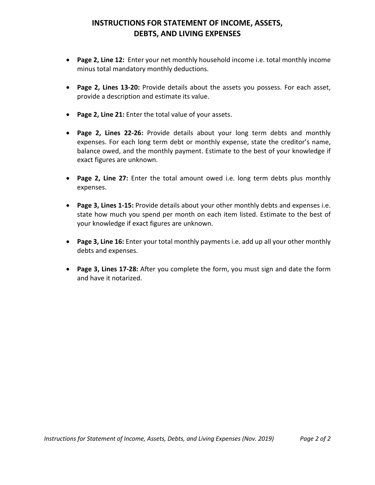## **INSTRUCTIONS FOR STATEMENT OF INCOME, ASSETS, DEBTS, AND LIVING EXPENSES**

- **Page 2, Line 12:** Enter your net monthly household income i.e. total monthly income minus total mandatory monthly deductions.
- **Page 2, Lines 13-20:** Provide details about the assets you possess. For each asset, provide a description and estimate its value.
- **Page 2, Line 21:** Enter the total value of your assets.
- **Page 2, Lines 22-26:** Provide details about your long term debts and monthly expenses. For each long term debt or monthly expense, state the creditor's name, balance owed, and the monthly payment. Estimate to the best of your knowledge if exact figures are unknown.
- **Page 2, Line 27:** Enter the total amount owed i.e. long term debts plus monthly expenses.
- **Page 3, Lines 1-15:** Provide details about your other monthly debts and expenses i.e. state how much you spend per month on each item listed. Estimate to the best of your knowledge if exact figures are unknown.
- **Page 3, Line 16:** Enter your total monthly payments i.e. add up all your other monthly debts and expenses.
- **Page 3, Lines 17-28:** After you complete the form, you must sign and date the form and have it notarized.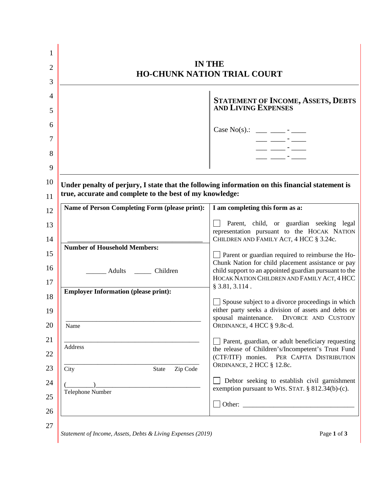| <b>IN THE</b><br><b>HO-CHUNK NATION TRIAL COURT</b>      |                                                                                                                                                                                                                                                                                                                                                    |  |
|----------------------------------------------------------|----------------------------------------------------------------------------------------------------------------------------------------------------------------------------------------------------------------------------------------------------------------------------------------------------------------------------------------------------|--|
|                                                          | STATEMENT OF INCOME, ASSETS, DEBTS<br>AND LIVING EXPENSES                                                                                                                                                                                                                                                                                          |  |
|                                                          |                                                                                                                                                                                                                                                                                                                                                    |  |
|                                                          | Case No(s).: ___ ___ -___ -<br>$\frac{1}{2}$ $\frac{1}{2}$ $\frac{1}{2}$ $\frac{1}{2}$ $\frac{1}{2}$ $\frac{1}{2}$ $\frac{1}{2}$ $\frac{1}{2}$ $\frac{1}{2}$ $\frac{1}{2}$ $\frac{1}{2}$ $\frac{1}{2}$ $\frac{1}{2}$ $\frac{1}{2}$ $\frac{1}{2}$ $\frac{1}{2}$ $\frac{1}{2}$ $\frac{1}{2}$ $\frac{1}{2}$ $\frac{1}{2}$ $\frac{1}{2}$ $\frac{1}{2}$ |  |
|                                                          |                                                                                                                                                                                                                                                                                                                                                    |  |
|                                                          |                                                                                                                                                                                                                                                                                                                                                    |  |
| true, accurate and complete to the best of my knowledge: | Under penalty of perjury, I state that the following information on this financial statement is                                                                                                                                                                                                                                                    |  |
| Name of Person Completing Form (please print):           | I am completing this form as a:                                                                                                                                                                                                                                                                                                                    |  |
|                                                          | Parent, child, or guardian seeking legal<br>representation pursuant to the HOCAK NATION<br>CHILDREN AND FAMILY ACT, 4 HCC § 3.24c.                                                                                                                                                                                                                 |  |
| <b>Number of Household Members:</b>                      | $\Box$ Parent or guardian required to reimburse the Ho-                                                                                                                                                                                                                                                                                            |  |
| ______ Adults ________ Children                          | Chunk Nation for child placement assistance or pay<br>child support to an appointed guardian pursuant to the<br>HOCAK NATION CHILDREN AND FAMILY ACT, 4 HCC                                                                                                                                                                                        |  |
| <b>Employer Information (please print):</b>              | $§$ 3.81, 3.114.                                                                                                                                                                                                                                                                                                                                   |  |
|                                                          | Spouse subject to a divorce proceedings in which<br>either party seeks a division of assets and debts or<br>spousal maintenance. DIVORCE AND CUSTODY                                                                                                                                                                                               |  |
| Name                                                     | ORDINANCE, 4 HCC § 9.8c-d.                                                                                                                                                                                                                                                                                                                         |  |
| Address                                                  | Parent, guardian, or adult beneficiary requesting<br>the release of Children's/Incompetent's Trust Fund<br>(CTF/ITF) monies. PER CAPITA DISTRIBUTION                                                                                                                                                                                               |  |
|                                                          | ORDINANCE, 2 HCC § 12.8c.                                                                                                                                                                                                                                                                                                                          |  |
| Zip Code<br>City<br>State                                |                                                                                                                                                                                                                                                                                                                                                    |  |
| Telephone Number                                         | Debtor seeking to establish civil garnishment<br>exemption pursuant to WIS. STAT. § 812.34(b)-(c).                                                                                                                                                                                                                                                 |  |

 $\blacksquare$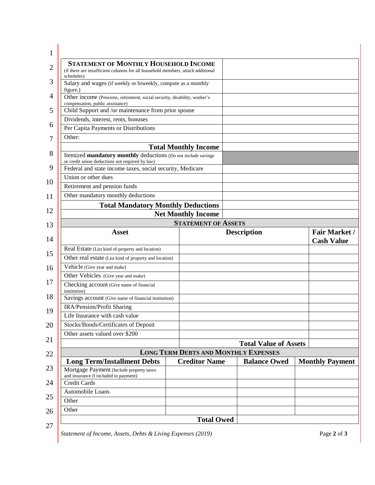| 1              |                                                                                                                                 |                             |                                             |                                           |
|----------------|---------------------------------------------------------------------------------------------------------------------------------|-----------------------------|---------------------------------------------|-------------------------------------------|
| $\overline{2}$ | <b>STATEMENT OF MONTHLY HOUSEHOLD INCOME</b><br>(if there are insufficient columns for all household members, attach additional |                             |                                             |                                           |
| 3              | schedules)<br>Salary and wages (if weekly or biweekly, compute as a monthly                                                     |                             |                                             |                                           |
| $\overline{4}$ | figure.)<br>Other income (Pensions, retirement, social security, disability, worker's                                           |                             |                                             |                                           |
| 5              | compensation, public assistance)<br>Child Support and /or maintenance from prior spouse                                         |                             |                                             |                                           |
|                | Dividends, interest, rents, bonuses                                                                                             |                             |                                             |                                           |
| 6              | Per Capita Payments or Distributions                                                                                            |                             |                                             |                                           |
| 7              | Other:                                                                                                                          |                             |                                             |                                           |
|                |                                                                                                                                 | <b>Total Monthly Income</b> |                                             |                                           |
| 8              | Itemized mandatory monthly deductions (Do not include savings<br>or credit union deductions not required by law)                |                             |                                             |                                           |
| 9              | Federal and state income taxes, social security, Medicare                                                                       |                             |                                             |                                           |
| 10             | Union or other dues                                                                                                             |                             |                                             |                                           |
|                | Retirement and pension funds                                                                                                    |                             |                                             |                                           |
| 11             | Other mandatory monthly deductions                                                                                              |                             |                                             |                                           |
| 12             | <b>Total Mandatory Monthly Deductions</b>                                                                                       |                             |                                             |                                           |
|                |                                                                                                                                 | <b>Net Monthly Income</b>   |                                             |                                           |
| 13             |                                                                                                                                 | <b>STATEMENT OF ASSETS</b>  |                                             |                                           |
| 14             | <b>Asset</b>                                                                                                                    |                             | <b>Description</b>                          | <b>Fair Market /</b><br><b>Cash Value</b> |
| 15             | Real Estate (List kind of property and location)                                                                                |                             |                                             |                                           |
|                | Other real estate (List kind of property and location)                                                                          |                             |                                             |                                           |
| 16             | Vehicle (Give year and make)                                                                                                    |                             |                                             |                                           |
| 17             | Other Vehicles (Give year and make)                                                                                             |                             |                                             |                                           |
|                | Checking account (Give name of financial<br>institution)                                                                        |                             |                                             |                                           |
| 18             | Savings account (Give name of financial institution)                                                                            |                             |                                             |                                           |
| 19             | <b>IRA/Pension/Profit Sharing</b>                                                                                               |                             |                                             |                                           |
|                | Life Insurance with cash value                                                                                                  |                             |                                             |                                           |
| 20             | Stocks/Bonds/Certificates of Deposit                                                                                            |                             |                                             |                                           |
| 21             | Other assets valued over \$200                                                                                                  |                             |                                             |                                           |
|                |                                                                                                                                 |                             | <b>Total Value of Assets</b>                |                                           |
| 22             |                                                                                                                                 |                             | <b>LONG TERM DEBTS AND MONTHLY EXPENSES</b> |                                           |
| 23             | <b>Long Term/Installment Debts</b><br>Mortgage Payment (Include property taxes                                                  | <b>Creditor Name</b>        | <b>Balance Owed</b>                         | <b>Monthly Payment</b>                    |
| 24             | and insurance if included in payment)<br><b>Credit Cards</b>                                                                    |                             |                                             |                                           |
|                | Automobile Loans                                                                                                                |                             |                                             |                                           |
| 25             | Other                                                                                                                           |                             |                                             |                                           |
| 26             | Other                                                                                                                           |                             |                                             |                                           |
|                |                                                                                                                                 | <b>Total Owed</b>           |                                             |                                           |
| 27             |                                                                                                                                 |                             |                                             |                                           |

*Statement of Income, Assets, Debts & Living Expenses (2019)* Page **2** of **3**